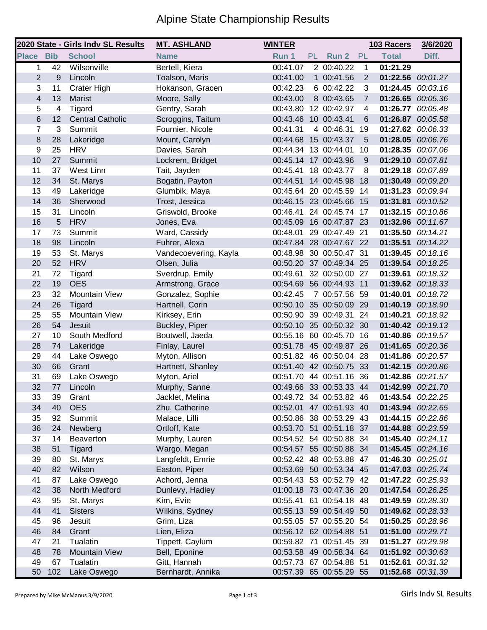## Alpine State Championship Results

|                  |     | 2020 State - Girls Indv SL Results | <b>MT. ASHLAND</b>    | <b>WINTER</b>        |           |                         |                         | 103 Racers        | 3/6/2020 |
|------------------|-----|------------------------------------|-----------------------|----------------------|-----------|-------------------------|-------------------------|-------------------|----------|
| <b>Place Bib</b> |     | <b>School</b>                      | <b>Name</b>           | Run 1                | <b>PL</b> | Run 2                   | PL                      | <b>Total</b>      | Diff.    |
| 1                | 42  | Wilsonville                        | Bertell, Kiera        | 00:41.07             |           | 2 00:40.22              | 1                       | 01:21.29          |          |
| $\overline{2}$   | 9   | Lincoln                            | Toalson, Maris        | 00:41.00             |           | 1 00:41.56              | $\overline{2}$          | 01:22.56 00:01.27 |          |
| 3                | 11  | Crater High                        | Hokanson, Gracen      | 00:42.23             |           | 6 00:42.22              | 3                       | 01:24.45 00:03.16 |          |
| $\overline{4}$   | 13  | <b>Marist</b>                      | Moore, Sally          | 00:43.00             |           | 8 00:43.65              | $\overline{7}$          | 01:26.65 00:05.36 |          |
| 5                | 4   | Tigard                             | Gentry, Sarah         | 00:43.80             |           | 12 00:42.97             | $\overline{\mathbf{4}}$ | 01:26.77 00:05.48 |          |
| 6                | 12  | <b>Central Catholic</b>            | Scroggins, Taitum     | 00:43.46 10 00:43.41 |           |                         | 6                       | 01:26.87 00:05.58 |          |
| 7                | 3   | Summit                             | Fournier, Nicole      | 00:41.31             |           | 4 00:46.31              | 19                      | 01:27.62 00:06.33 |          |
| 8                | 28  | Lakeridge                          | Mount, Carolyn        | 00:44.68 15 00:43.37 |           |                         | 5                       | 01:28.05 00:06.76 |          |
| 9                | 25  | <b>HRV</b>                         | Davies, Sarah         | 00:44.34 13 00:44.01 |           |                         | 10                      | 01:28.35 00:07.06 |          |
| 10               | 27  | Summit                             | Lockrem, Bridget      | 00:45.14 17 00:43.96 |           |                         | 9                       | 01:29.10 00:07.81 |          |
| 11               | 37  | West Linn                          | Tait, Jayden          | 00:45.41             |           | 18 00:43.77             | 8                       | 01:29.18 00:07.89 |          |
| 12               | 34  | St. Marys                          | Bogatin, Payton       | 00:44.51 14 00:45.98 |           |                         | 18                      | 01:30.49 00:09.20 |          |
| 13               | 49  | Lakeridge                          | Glumbik, Maya         | 00:45.64 20 00:45.59 |           |                         | -14                     | 01:31.23 00:09.94 |          |
| 14               | 36  | Sherwood                           | Trost, Jessica        | 00:46.15 23 00:45.66 |           |                         | 15                      | 01:31.81          | 00:10.52 |
| 15               | 31  | Lincoln                            | Griswold, Brooke      | 00:46.41 24 00:45.74 |           |                         | 17                      | 01:32.15          | 00:10.86 |
| 16               | 5   | <b>HRV</b>                         | Jones, Eva            |                      |           | 00:45.09 16 00:47.87 23 |                         | 01:32.96 00:11.67 |          |
| 17               | 73  | Summit                             | Ward, Cassidy         | 00:48.01             |           | 29 00:47.49 21          |                         | 01:35.50 00:14.21 |          |
| 18               | 98  | Lincoln                            | Fuhrer, Alexa         |                      |           | 00:47.84 28 00:47.67 22 |                         | 01:35.51 00:14.22 |          |
| 19               | 53  | St. Marys                          | Vandecoevering, Kayla |                      |           | 00:48.98 30 00:50.47 31 |                         | 01:39.45 00:18.16 |          |
| 20               | 52  | <b>HRV</b>                         | Olsen, Julia          |                      |           | 00:50.20 37 00:49.34 25 |                         | 01:39.54 00:18.25 |          |
| 21               | 72  | Tigard                             | Sverdrup, Emily       | 00:49.61             |           | 32 00:50.00 27          |                         | 01:39.61 00:18.32 |          |
| 22               | 19  | <b>OES</b>                         | Armstrong, Grace      |                      |           | 00:54.69 56 00:44.93 11 |                         | 01:39.62 00:18.33 |          |
| 23               | 32  | <b>Mountain View</b>               | Gonzalez, Sophie      | 00:42.45             |           | 7 00:57.56 59           |                         | 01:40.01          | 00:18.72 |
| 24               | 26  | Tigard                             | Hartnell, Corin       |                      |           | 00:50.10 35 00:50.09 29 |                         | 01:40.19 00:18.90 |          |
| 25               | 55  | <b>Mountain View</b>               | Kirksey, Erin         |                      |           | 00:50.90 39 00:49.31 24 |                         | 01:40.21 00:18.92 |          |
| 26               | 54  | Jesuit                             | Buckley, Piper        |                      |           | 00:50.10 35 00:50.32 30 |                         | 01:40.42 00:19.13 |          |
| 27               | 10  | South Medford                      | Boutwell, Jaeda       | 00:55.16 60 00:45.70 |           |                         | 16                      | 01:40.86 00:19.57 |          |
| 28               | 74  | Lakeridge                          | Finlay, Laurel        |                      |           | 00:51.78 45 00:49.87    | 26                      | 01:41.65 00:20.36 |          |
| 29               | 44  | Lake Oswego                        | Myton, Allison        | 00:51.82 46 00:50.04 |           |                         | 28                      | 01:41.86 00:20.57 |          |
| 30               | 66  | Grant                              | Hartnett, Shanley     |                      |           | 00:51.40 42 00:50.75 33 |                         | 01:42.15 00:20.86 |          |
| 31               | 69  | Lake Oswego                        | Myton, Ariel          |                      |           | 00:51.70 44 00:51.16 36 |                         | 01:42.86 00:21.57 |          |
| 32               | 77  | Lincoln                            | Murphy, Sanne         |                      |           | 00:49.66 33 00:53.33 44 |                         | 01:42.99 00:21.70 |          |
| 33               | 39  | Grant                              | Jacklet, Melina       |                      |           | 00:49.72 34 00:53.82 46 |                         | 01:43.54 00:22.25 |          |
| 34               | 40  | <b>OES</b>                         | Zhu, Catherine        |                      |           | 00:52.01 47 00:51.93 40 |                         | 01:43.94 00:22.65 |          |
| 35               | 92  | Summit                             | Malace, Lilli         |                      |           | 00:50.86 38 00:53.29 43 |                         | 01:44.15 00:22.86 |          |
| 36               | 24  | Newberg                            | Ortloff, Kate         |                      |           | 00:53.70 51 00:51.18 37 |                         | 01:44.88 00:23.59 |          |
| 37               | 14  | Beaverton                          | Murphy, Lauren        |                      |           | 00:54.52 54 00:50.88 34 |                         | 01:45.40 00:24.11 |          |
| 38               | 51  | <b>Tigard</b>                      | Wargo, Megan          |                      |           | 00:54.57 55 00:50.88 34 |                         | 01:45.45 00:24.16 |          |
| 39               | 80  | St. Marys                          | Langfeldt, Emrie      |                      |           | 00:52.42 48 00:53.88 47 |                         | 01:46.30 00:25.01 |          |
| 40               | 82  | Wilson                             | Easton, Piper         |                      |           | 00:53.69 50 00:53.34 45 |                         | 01:47.03 00:25.74 |          |
| 41               | 87  | Lake Oswego                        | Achord, Jenna         |                      |           | 00:54.43 53 00:52.79 42 |                         | 01:47.22 00:25.93 |          |
| 42               | 38  | North Medford                      | Dunlevy, Hadley       |                      |           | 01:00.18 73 00:47.36 20 |                         | 01:47.54 00:26.25 |          |
| 43               | 95  | St. Marys                          | Kim, Evie             |                      |           | 00:55.41 61 00:54.18 48 |                         | 01:49.59 00:28.30 |          |
| 44               | 41  | <b>Sisters</b>                     | Wilkins, Sydney       |                      |           | 00:55.13 59 00:54.49 50 |                         | 01:49.62 00:28.33 |          |
| 45               | 96  | Jesuit                             | Grim, Liza            |                      |           | 00:55.05 57 00:55.20 54 |                         | 01:50.25 00:28.96 |          |
| 46               | 84  | Grant                              | Lien, Eliza           |                      |           | 00:56.12 62 00:54.88 51 |                         | 01:51.00 00:29.71 |          |
| 47               | 21  | Tualatin                           | Tippett, Caylum       |                      |           | 00:59.82 71 00:51.45 39 |                         | 01:51.27 00:29.98 |          |
| 48               | 78  | <b>Mountain View</b>               | Bell, Eponine         |                      |           | 00:53.58 49 00:58.34 64 |                         | 01:51.92 00:30.63 |          |
| 49               | 67  | Tualatin                           | Gitt, Hannah          |                      |           | 00:57.73 67 00:54.88 51 |                         | 01:52.61 00:31.32 |          |
| 50               | 102 | Lake Oswego                        | Bernhardt, Annika     |                      |           | 00:57.39 65 00:55.29 55 |                         | 01:52.68 00:31.39 |          |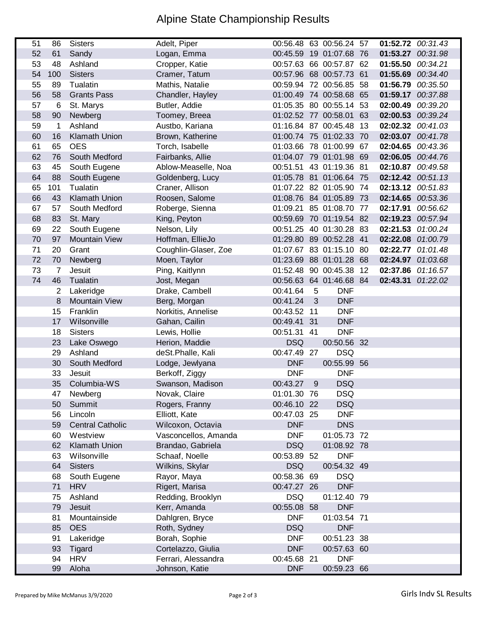## Alpine State Championship Results

| 51 | 86             | <b>Sisters</b>          | Adelt, Piper         |             |   | 00:56.48 63 00:56.24 57 |    | 01:52.72 00:31.43 |  |
|----|----------------|-------------------------|----------------------|-------------|---|-------------------------|----|-------------------|--|
| 52 | 61             | Sandy                   | Logan, Emma          |             |   | 00:45.59 19 01:07.68 76 |    | 01:53.27 00:31.98 |  |
| 53 | 48             | Ashland                 | Cropper, Katie       |             |   | 00:57.63 66 00:57.87 62 |    | 01:55.50 00:34.21 |  |
| 54 | 100            | <b>Sisters</b>          | Cramer, Tatum        |             |   | 00:57.96 68 00:57.73 61 |    | 01:55.69 00:34.40 |  |
| 55 | 89             | Tualatin                | Mathis, Natalie      |             |   | 00:59.94 72 00:56.85 58 |    | 01:56.79 00:35.50 |  |
| 56 | 58             | <b>Grants Pass</b>      | Chandler, Hayley     |             |   | 01:00.49 74 00:58.68 65 |    | 01:59.17 00:37.88 |  |
| 57 | 6              | St. Marys               | Butler, Addie        |             |   | 01:05.35 80 00:55.14 53 |    | 02:00.49 00:39.20 |  |
| 58 | 90             | Newberg                 | Toomey, Breea        |             |   | 01:02.52 77 00:58.01    | 63 | 02:00.53 00:39.24 |  |
| 59 | 1              | Ashland                 | Austbo, Kariana      |             |   | 01:16.84 87 00:45.48    | 13 | 02:02.32 00:41.03 |  |
| 60 | 16             | <b>Klamath Union</b>    | Brown, Katherine     |             |   | 01:00.74 75 01:02.33 70 |    | 02:03.07 00:41.78 |  |
| 61 | 65             | <b>OES</b>              | Torch, Isabelle      |             |   | 01:03.66 78 01:00.99 67 |    | 02:04.65 00:43.36 |  |
| 62 | 76             | South Medford           | Fairbanks, Allie     |             |   | 01:04.07 79 01:01.98 69 |    | 02:06.05 00:44.76 |  |
| 63 | 45             | South Eugene            | Ablow-Measelle, Noa  |             |   | 00:51.51 43 01:19.36 81 |    | 02:10.87 00:49.58 |  |
| 64 | 88             | South Eugene            | Goldenberg, Lucy     |             |   | 01:05.78 81 01:06.64 75 |    | 02:12.42 00:51.13 |  |
| 65 | 101            | Tualatin                | Craner, Allison      |             |   | 01:07.22 82 01:05.90 74 |    | 02:13.12 00:51.83 |  |
| 66 | 43             | <b>Klamath Union</b>    | Roosen, Salome       |             |   | 01:08.76 84 01:05.89 73 |    | 02:14.65 00:53.36 |  |
| 67 | 57             | South Medford           | Roberge, Sienna      |             |   | 01:09.21 85 01:08.70 77 |    | 02:17.91 00:56.62 |  |
| 68 | 83             | St. Mary                | King, Peyton         |             |   | 00:59.69 70 01:19.54 82 |    | 02:19.23 00:57.94 |  |
| 69 | 22             | South Eugene            | Nelson, Lily         |             |   | 00:51.25 40 01:30.28 83 |    | 02:21.53 01:00.24 |  |
| 70 | 97             | <b>Mountain View</b>    | Hoffman, EllieJo     |             |   | 01:29.80 89 00:52.28 41 |    | 02:22.08 01:00.79 |  |
| 71 | 20             | Grant                   | Coughlin-Glaser, Zoe |             |   | 01:07.67 83 01:15.10 80 |    | 02:22.77 01:01.48 |  |
| 72 | 70             | Newberg                 | Moen, Taylor         |             |   | 01:23.69 88 01:01.28 68 |    | 02:24.97 01:03.68 |  |
| 73 | $\overline{7}$ | Jesuit                  | Ping, Kaitlynn       |             |   | 01:52.48 90 00:45.38 12 |    | 02:37.86 01:16.57 |  |
| 74 | 46             | Tualatin                | Jost, Megan          |             |   | 00:56.63 64 01:46.68 84 |    | 02:43.31 01:22.02 |  |
|    | $\overline{2}$ | Lakeridge               | Drake, Cambell       | 00:41.64    | 5 | <b>DNF</b>              |    |                   |  |
|    | 8              | <b>Mountain View</b>    | Berg, Morgan         | 00:41.24    | 3 | <b>DNF</b>              |    |                   |  |
|    | 15             | Franklin                | Norkitis, Annelise   | 00:43.52 11 |   | <b>DNF</b>              |    |                   |  |
|    | 17             | Wilsonville             | Gahan, Cailin        | 00:49.41 31 |   | <b>DNF</b>              |    |                   |  |
|    | 18             | <b>Sisters</b>          | Lewis, Hollie        | 00:51.31 41 |   | <b>DNF</b>              |    |                   |  |
|    | 23             | Lake Oswego             | Herion, Maddie       | <b>DSQ</b>  |   | 00:50.56 32             |    |                   |  |
|    | 29             | Ashland                 | deSt.Phalle, Kali    | 00:47.49 27 |   | <b>DSQ</b>              |    |                   |  |
|    | 30             | South Medford           | Lodge, Jewlyana      | <b>DNF</b>  |   | 00:55.99 56             |    |                   |  |
|    | 33             | Jesuit                  | Berkoff, Ziggy       | <b>DNF</b>  |   | <b>DNF</b>              |    |                   |  |
|    | 35             | Columbia-WS             | Swanson, Madison     | 00:43.27    | 9 | <b>DSQ</b>              |    |                   |  |
|    | 47             | Newberg                 | Novak, Claire        | 01:01.30 76 |   | <b>DSQ</b>              |    |                   |  |
|    | 50             | Summit                  | Rogers, Franny       | 00:46.10 22 |   | <b>DSQ</b>              |    |                   |  |
|    | 56             | Lincoln                 | Elliott, Kate        | 00:47.03 25 |   | <b>DNF</b>              |    |                   |  |
|    | 59             | <b>Central Catholic</b> | Wilcoxon, Octavia    | <b>DNF</b>  |   | <b>DNS</b>              |    |                   |  |
|    | 60             | Westview                | Vasconcellos, Amanda | <b>DNF</b>  |   | 01:05.73 72             |    |                   |  |
|    | 62             | <b>Klamath Union</b>    | Brandao, Gabriela    | <b>DSQ</b>  |   | 01:08.92 78             |    |                   |  |
|    | 63             | Wilsonville             | Schaaf, Noelle       | 00:53.89 52 |   | <b>DNF</b>              |    |                   |  |
|    | 64             | <b>Sisters</b>          | Wilkins, Skylar      | <b>DSQ</b>  |   | 00:54.32 49             |    |                   |  |
|    | 68             | South Eugene            | Rayor, Maya          | 00:58.36 69 |   | <b>DSQ</b>              |    |                   |  |
|    | 71             | <b>HRV</b>              | Rigert, Marisa       | 00:47.27 26 |   | <b>DNF</b>              |    |                   |  |
|    | 75             | Ashland                 | Redding, Brooklyn    | <b>DSQ</b>  |   | 01:12.40 79             |    |                   |  |
|    | 79             | Jesuit                  | Kerr, Amanda         | 00:55.08 58 |   | <b>DNF</b>              |    |                   |  |
|    | 81             | Mountainside            | Dahlgren, Bryce      | <b>DNF</b>  |   | 01:03.54 71             |    |                   |  |
|    | 85             | <b>OES</b>              | Roth, Sydney         | <b>DSQ</b>  |   | <b>DNF</b>              |    |                   |  |
|    | 91             | Lakeridge               | Borah, Sophie        | <b>DNF</b>  |   | 00:51.23 38             |    |                   |  |
|    | 93             | Tigard                  | Cortelazzo, Giulia   | <b>DNF</b>  |   | 00:57.63 60             |    |                   |  |
|    | 94             | <b>HRV</b>              | Ferrari, Alessandra  | 00:45.68 21 |   | <b>DNF</b>              |    |                   |  |
|    |                | Aloha                   | Johnson, Katie       | <b>DNF</b>  |   | 00:59.23 66             |    |                   |  |